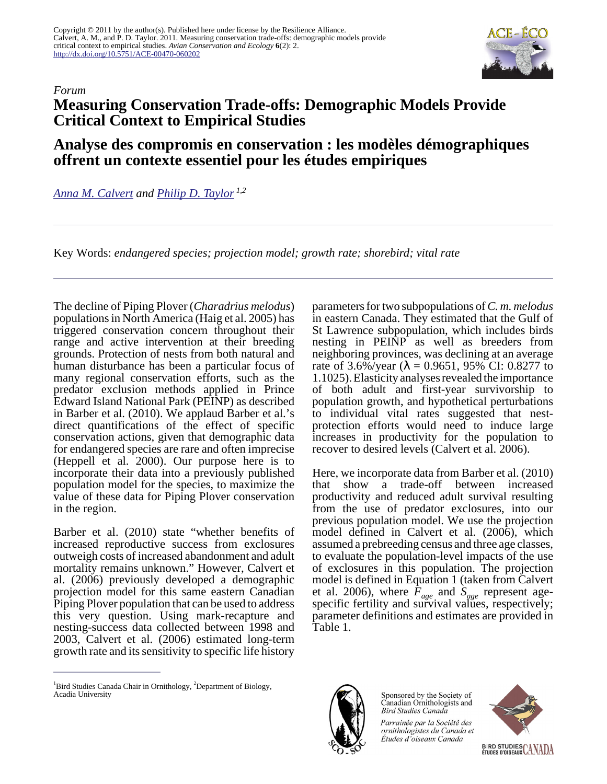

## **Measuring Conservation Trade-offs: Demographic Models Provide Critical Context to Empirical Studies**

## **Analyse des compromis en conservation : les modèles démographiques offrent un contexte essentiel pour les études empiriques**

*[Anna M. Calvert](mailto:anna.calvert@dal.ca) and [Philip D. Taylor](mailto:ptaylor@resalliance.org) 1,2*

Key Words: *endangered species; projection model; growth rate; shorebird; vital rate*

The decline of Piping Plover (*Charadrius melodus*) populations in North America (Haig et al. 2005) has triggered conservation concern throughout their range and active intervention at their breeding grounds. Protection of nests from both natural and human disturbance has been a particular focus of many regional conservation efforts, such as the predator exclusion methods applied in Prince Edward Island National Park (PEINP) as described in Barber et al. (2010). We applaud Barber et al.'s direct quantifications of the effect of specific conservation actions, given that demographic data for endangered species are rare and often imprecise (Heppell et al. 2000). Our purpose here is to incorporate their data into a previously published population model for the species, to maximize the value of these data for Piping Plover conservation in the region.

Barber et al. (2010) state "whether benefits of increased reproductive success from exclosures outweigh costs of increased abandonment and adult mortality remains unknown." However, Calvert et al. (2006) previously developed a demographic projection model for this same eastern Canadian Piping Plover population that can be used to address this very question. Using mark-recapture and nesting-success data collected between 1998 and 2003, Calvert et al. (2006) estimated long-term growth rate and its sensitivity to specific life history

parameters for two subpopulations of *C. m. melodus* in eastern Canada. They estimated that the Gulf of St Lawrence subpopulation, which includes birds nesting in PEINP as well as breeders from neighboring provinces, was declining at an average rate of 3.6%/year (λ = 0.9651, 95% CI: 0.8277 to 1.1025). Elasticity analyses revealed the importance of both adult and first-year survivorship to population growth, and hypothetical perturbations to individual vital rates suggested that nestprotection efforts would need to induce large increases in productivity for the population to recover to desired levels (Calvert et al. 2006).

Here, we incorporate data from Barber et al. (2010) that show a trade-off between increased productivity and reduced adult survival resulting from the use of predator exclosures, into our previous population model. We use the projection model defined in Calvert et al. (2006), which assumed a prebreeding census and three age classes, to evaluate the population-level impacts of the use of exclosures in this population. The projection model is defined in Equation 1 (taken from Calvert et al. 2006), where *Fage* and *Sage* represent agespecific fertility and survival values, respectively; parameter definitions and estimates are provided in Table 1.



Sponsored by the Society of Canadian Ornithologists and **Bird Studies Canada** 

Parrainée par la Société des ornithologistes du Canada et Études d'oiseaux Canada





<sup>&</sup>lt;sup>1</sup>Bird Studies Canada Chair in Ornithology,  ${}^{2}$ Department of Biology, Acadia University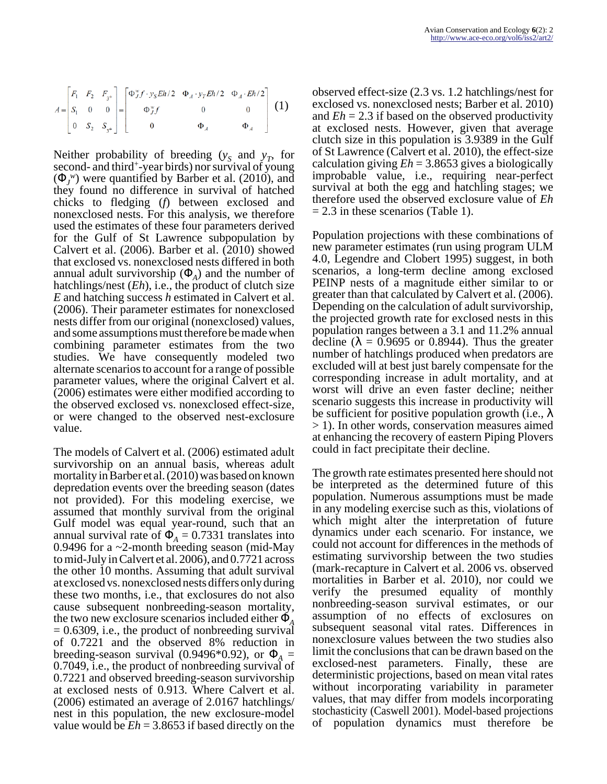$$
A = \begin{bmatrix} F_1 & F_2 & F_{3+} \\ S_1 & 0 & 0 \\ 0 & S_2 & S_{3+} \end{bmatrix} = \begin{bmatrix} \Phi_J^{\prime\prime} f \cdot y_S E h/2 & \Phi_A \cdot y_T E h/2 & \Phi_A \cdot E h/2 \\ \Phi_J^{\prime\prime} f & 0 & 0 \\ 0 & \Phi_A & \Phi_A \end{bmatrix}
$$
 (1)

Neither probability of breeding  $(y_S)$  and  $y_T$ , for second- and third<sup>+</sup> -year birds) nor survival of young  $(\Phi_J^{\,\,\nu})$  were quantified by Barber et al. (2010), and they found no difference in survival of hatched chicks to fledging (*f*) between exclosed and nonexclosed nests. For this analysis, we therefore used the estimates of these four parameters derived for the Gulf of St Lawrence subpopulation by Calvert et al. (2006). Barber et al. (2010) showed that exclosed vs. nonexclosed nests differed in both annual adult survivorship  $(\Phi_A)$  and the number of hatchlings/nest (*Eh*), i.e., the product of clutch size *E* and hatching success *h* estimated in Calvert et al. (2006). Their parameter estimates for nonexclosed nests differ from our original (nonexclosed) values, and some assumptions must therefore be made when combining parameter estimates from the two studies. We have consequently modeled two alternate scenarios to account for a range of possible parameter values, where the original Calvert et al. (2006) estimates were either modified according to the observed exclosed vs. nonexclosed effect-size, or were changed to the observed nest-exclosure value.

The models of Calvert et al. (2006) estimated adult survivorship on an annual basis, whereas adult mortality in Barber et al. (2010) was based on known depredation events over the breeding season (dates not provided). For this modeling exercise, we assumed that monthly survival from the original Gulf model was equal year-round, such that an annual survival rate of  $\Phi_A = 0.7331$  translates into 0.9496 for a ~2-month breeding season (mid-May to mid-July in Calvert et al. 2006), and 0.7721 across the other 10 months. Assuming that adult survival at exclosed vs. nonexclosed nests differs only during these two months, i.e., that exclosures do not also cause subsequent nonbreeding-season mortality, the two new exclosure scenarios included either Φ*<sup>A</sup>*  $= 0.6309$ , i.e., the product of nonbreeding survival of 0.7221 and the observed 8% reduction in breeding-season survival (0.9496\*0.92), or  $\Phi_A =$ 0.7049, i.e., the product of nonbreeding survival of 0.7221 and observed breeding-season survivorship at exclosed nests of 0.913. Where Calvert et al. (2006) estimated an average of 2.0167 hatchlings/ nest in this population, the new exclosure-model value would be *Eh* = 3.8653 if based directly on the

observed effect-size (2.3 vs. 1.2 hatchlings/nest for exclosed vs. nonexclosed nests; Barber et al. 2010) and  $Eh = 2.3$  if based on the observed productivity at exclosed nests. However, given that average clutch size in this population is 3.9389 in the Gulf of St Lawrence (Calvert et al. 2010), the effect-size calculation giving *Eh* = 3.8653 gives a biologically improbable value, i.e., requiring near-perfect survival at both the egg and hatchling stages; we therefore used the observed exclosure value of *Eh*  $= 2.3$  in these scenarios (Table 1).

Population projections with these combinations of new parameter estimates (run using program ULM 4.0, Legendre and Clobert 1995) suggest, in both scenarios, a long-term decline among exclosed PEINP nests of a magnitude either similar to or greater than that calculated by Calvert et al. (2006). Depending on the calculation of adult survivorship, the projected growth rate for exclosed nests in this population ranges between a 3.1 and 11.2% annual decline ( $\lambda = 0.9695$  or 0.8944). Thus the greater number of hatchlings produced when predators are excluded will at best just barely compensate for the corresponding increase in adult mortality, and at worst will drive an even faster decline; neither scenario suggests this increase in productivity will be sufficient for positive population growth (i.e.,  $\lambda$ > 1). In other words, conservation measures aimed at enhancing the recovery of eastern Piping Plovers could in fact precipitate their decline.

The growth rate estimates presented here should not be interpreted as the determined future of this population. Numerous assumptions must be made in any modeling exercise such as this, violations of which might alter the interpretation of future dynamics under each scenario. For instance, we could not account for differences in the methods of estimating survivorship between the two studies (mark-recapture in Calvert et al. 2006 vs. observed mortalities in Barber et al. 2010), nor could we verify the presumed equality of monthly nonbreeding-season survival estimates, or our assumption of no effects of exclosures on subsequent seasonal vital rates. Differences in nonexclosure values between the two studies also limit the conclusions that can be drawn based on the exclosed-nest parameters. Finally, these are deterministic projections, based on mean vital rates without incorporating variability in parameter values, that may differ from models incorporating stochasticity (Caswell 2001). Model-based projections of population dynamics must therefore be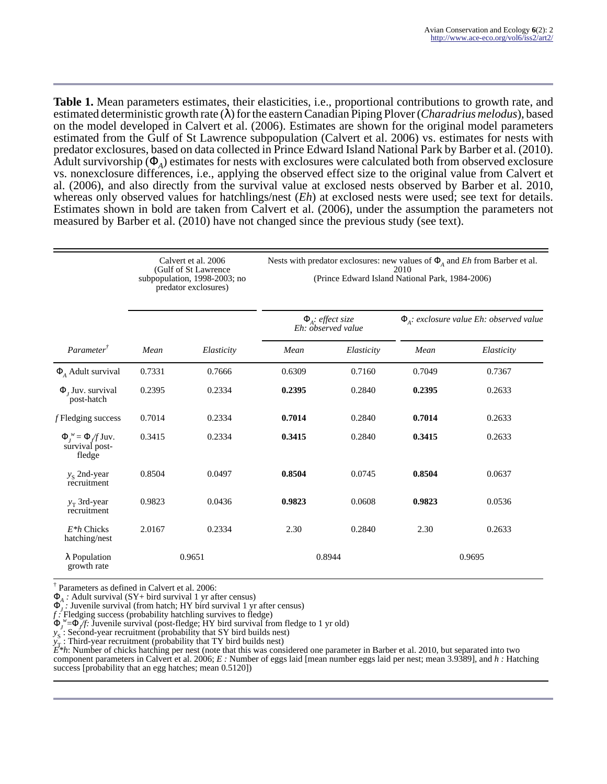**Table 1.** Mean parameters estimates, their elasticities, i.e., proportional contributions to growth rate, and estimated deterministic growth rate (λ) for the eastern Canadian Piping Plover (*Charadrius melodus*), based on the model developed in Calvert et al. (2006). Estimates are shown for the original model parameters estimated from the Gulf of St Lawrence subpopulation (Calvert et al. 2006) vs. estimates for nests with predator exclosures, based on data collected in Prince Edward Island National Park by Barber et al. (2010). Adult survivorship  $(\Phi_A)$  estimates for nests with exclosures were calculated both from observed exclosure vs. nonexclosure differences, i.e., applying the observed effect size to the original value from Calvert et al. (2006), and also directly from the survival value at exclosed nests observed by Barber et al. 2010, whereas only observed values for hatchlings/nest (*Eh*) at exclosed nests were used; see text for details. Estimates shown in bold are taken from Calvert et al. (2006), under the assumption the parameters not measured by Barber et al. (2010) have not changed since the previous study (see text).

|                                                             | Calvert et al. 2006<br>(Gulf of St Lawrence)<br>subpopulation, 1998-2003; no<br>predator exclosures) |            | Nests with predator exclosures: new values of $\Phi$ <sub>A</sub> and <i>Eh</i> from Barber et al.<br>2010<br>(Prince Edward Island National Park, 1984-2006) |            |                                                       |            |
|-------------------------------------------------------------|------------------------------------------------------------------------------------------------------|------------|---------------------------------------------------------------------------------------------------------------------------------------------------------------|------------|-------------------------------------------------------|------------|
|                                                             |                                                                                                      |            | $\Phi_{A}$ : effect size<br>Eh: observed value                                                                                                                |            | $\Phi_{\Lambda}$ : exclosure value Eh: observed value |            |
| Parameter <sup>†</sup>                                      | Mean                                                                                                 | Elasticity | Mean                                                                                                                                                          | Elasticity | Mean                                                  | Elasticity |
| $\Phi$ <sub>4</sub> Adult survival                          | 0.7331                                                                                               | 0.7666     | 0.6309                                                                                                                                                        | 0.7160     | 0.7049                                                | 0.7367     |
| $\Phi$ , Juv. survival<br>post-hatch                        | 0.2395                                                                                               | 0.2334     | 0.2395                                                                                                                                                        | 0.2840     | 0.2395                                                | 0.2633     |
| $f$ Fledging success                                        | 0.7014                                                                                               | 0.2334     | 0.7014                                                                                                                                                        | 0.2840     | 0.7014                                                | 0.2633     |
| $\Phi_t^w = \Phi/f \text{Juv}.$<br>survival post-<br>fledge | 0.3415                                                                                               | 0.2334     | 0.3415                                                                                                                                                        | 0.2840     | 0.3415                                                | 0.2633     |
| $y_s$ 2nd-year<br>recruitment                               | 0.8504                                                                                               | 0.0497     | 0.8504                                                                                                                                                        | 0.0745     | 0.8504                                                | 0.0637     |
| $y_T$ 3rd-year<br>recruitment                               | 0.9823                                                                                               | 0.0436     | 0.9823                                                                                                                                                        | 0.0608     | 0.9823                                                | 0.0536     |
| $E^*h$ Chicks<br>hatching/nest                              | 2.0167                                                                                               | 0.2334     | 2.30                                                                                                                                                          | 0.2840     | 2.30                                                  | 0.2633     |
| $\lambda$ Population<br>growth rate                         | 0.9651                                                                                               |            | 0.8944                                                                                                                                                        |            | 0.9695                                                |            |

† Parameters as defined in Calvert et al. 2006:

 $\Phi_A$ : Adult survival (SY+ bird survival 1 yr after census)

 $\Phi_J$ : Juvenile survival (from hatch; HY bird survival 1 yr after census)

*f :* Fledging success (probability hatchling survives to fledge)

 $\Phi_j^{\psi} = \Phi_j f$ : Juvenile survival (post-fledge; HY bird survival from fledge to 1 yr old)

*y*<sub>S</sub>: Second-year recruitment (probability that SY bird builds nest)

*y* : Third-year recruitment (probability that TY bird builds nest)

*E*\*h: Number of chicks hatching per nest (note that this was considered one parameter in Barber et al. 2010, but separated into two

component parameters in Calvert et al. 2006; *E :* Number of eggs laid [mean number eggs laid per nest; mean 3.9389], and *h :* Hatching success [probability that an egg hatches; mean  $0.5120$ ])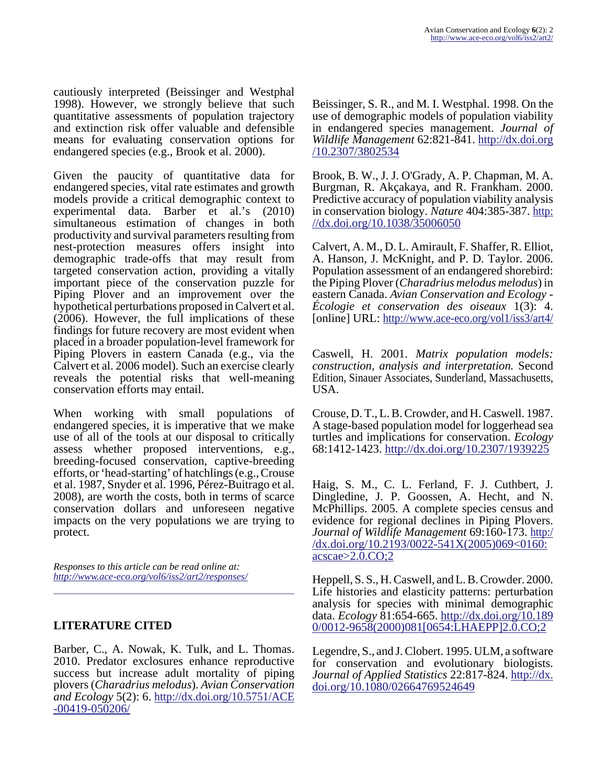cautiously interpreted (Beissinger and Westphal 1998). However, we strongly believe that such quantitative assessments of population trajectory and extinction risk offer valuable and defensible means for evaluating conservation options for endangered species (e.g., Brook et al. 2000).

Given the paucity of quantitative data for endangered species, vital rate estimates and growth models provide a critical demographic context to experimental data. Barber et al.'s (2010) simultaneous estimation of changes in both productivity and survival parameters resulting from nest-protection measures offers insight into demographic trade-offs that may result from targeted conservation action, providing a vitally important piece of the conservation puzzle for Piping Plover and an improvement over the hypothetical perturbations proposed in Calvert et al. (2006). However, the full implications of these findings for future recovery are most evident when placed in a broader population-level framework for Piping Plovers in eastern Canada (e.g., via the Calvert et al. 2006 model). Such an exercise clearly reveals the potential risks that well-meaning conservation efforts may entail.

When working with small populations of endangered species, it is imperative that we make use of all of the tools at our disposal to critically assess whether proposed interventions, e.g., breeding-focused conservation, captive-breeding efforts, or 'head-starting' of hatchlings (e.g., Crouse et al. 1987, Snyder et al. 1996, Pérez-Buitrago et al. 2008), are worth the costs, both in terms of scarce conservation dollars and unforeseen negative impacts on the very populations we are trying to protect.

*Responses to this article can be read online at: <http://www.ace-eco.org/vol6/iss2/art2/responses/>*

## **LITERATURE CITED**

Barber, C., A. Nowak, K. Tulk, and L. Thomas. 2010. Predator exclosures enhance reproductive success but increase adult mortality of piping plovers (*Charadrius melodus*). *Avian Conservation and Ecology* 5(2): 6. [http://dx.doi.org/10.5751/ACE](http://dx.doi.org/10.5751/ACE-00419-050206) [-00419-050206/](http://dx.doi.org/10.5751/ACE-00419-050206)

Beissinger, S. R., and M. I. Westphal. 1998. On the use of demographic models of population viability in endangered species management. *Journal of Wildlife Management* 62:821-841. [http://dx.doi.org](http://dx.doi.org/10.2307/3802534) [/10.2307/3802534](http://dx.doi.org/10.2307/3802534)

Brook, B. W., J. J. O'Grady, A. P. Chapman, M. A. Burgman, R. Akçakaya, and R. Frankham. 2000. Predictive accuracy of population viability analysis in conservation biology. *Nature* 404:385-387. [http:](http://dx.doi.org/10.1038/35006050) [//dx.doi.org/10.1038/35006050](http://dx.doi.org/10.1038/35006050)

Calvert, A. M., D. L. Amirault, F. Shaffer, R. Elliot, A. Hanson, J. McKnight, and P. D. Taylor. 2006. Population assessment of an endangered shorebird: the Piping Plover (*Charadrius melodus melodus*) in eastern Canada. *Avian Conservation and Ecology - Écologie et conservation des oiseaux* 1(3): 4. [online] URL:<http://www.ace-eco.org/vol1/iss3/art4/>

Caswell, H. 2001. *Matrix population models: construction, analysis and interpretation.* Second Edition, Sinauer Associates, Sunderland, Massachusetts, USA.

Crouse, D. T., L. B. Crowder, and H. Caswell. 1987. A stage-based population model for loggerhead sea turtles and implications for conservation. *Ecology* 68:1412-1423.<http://dx.doi.org/10.2307/1939225>

Haig, S. M., C. L. Ferland, F. J. Cuthbert, J. Dingledine, J. P. Goossen, A. Hecht, and N. McPhillips. 2005. A complete species census and evidence for regional declines in Piping Plovers. *Journal of Wildlife Management* 69:160-173. [http:/](http://dx.doi.org/10.2193/0022-541X(2005)069<0160:acscae>2.0.CO;2) /dx.doi.org/10.2193/0022-541X(2005)069<0160:  $acscae > 2.0$ . $CO;2$ 

Heppell, S. S., H. Caswell, and L. B. Crowder. 2000. Life histories and elasticity patterns: perturbation analysis for species with minimal demographic data. *Ecology* 81:654-665. [http://dx.doi.org/10.189](http://dx.doi.org/10.1890/0012-9658(2000)081[0654:LHAEPP]2.0.CO;2) [0/0012-9658\(2000\)081\[0654:LHAEPP\]2.0.CO;2](http://dx.doi.org/10.1890/0012-9658(2000)081[0654:LHAEPP]2.0.CO;2)

Legendre, S., and J. Clobert. 1995. ULM, a software for conservation and evolutionary biologists. *Journal of Applied Statistics* 22:817-824. [http://dx.](http://dx.doi.org/10.1080/02664769524649) [doi.org/10.1080/02664769524649](http://dx.doi.org/10.1080/02664769524649)